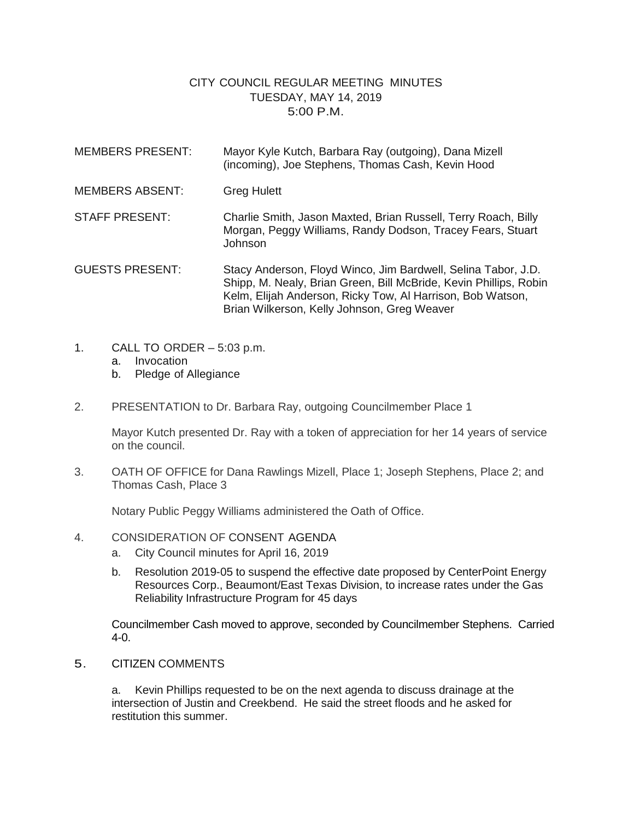## CITY COUNCIL REGULAR MEETING MINUTES TUESDAY, MAY 14, 2019 5:00 P.M.

- MEMBERS PRESENT: Mayor Kyle Kutch, Barbara Ray (outgoing), Dana Mizell (incoming), Joe Stephens, Thomas Cash, Kevin Hood MEMBERS ABSENT: Greg Hulett STAFF PRESENT: Charlie Smith, Jason Maxted, Brian Russell, Terry Roach, Billy Morgan, Peggy Williams, Randy Dodson, Tracey Fears, Stuart Johnson GUESTS PRESENT: Stacy Anderson, Floyd Winco, Jim Bardwell, Selina Tabor, J.D. Shipp, M. Nealy, Brian Green, Bill McBride, Kevin Phillips, Robin Kelm, Elijah Anderson, Ricky Tow, Al Harrison, Bob Watson,
- 1. CALL TO ORDER 5:03 p.m.
	- a. Invocation
	- b. Pledge of Allegiance
- 2. PRESENTATION to Dr. Barbara Ray, outgoing Councilmember Place 1

Mayor Kutch presented Dr. Ray with a token of appreciation for her 14 years of service on the council.

Brian Wilkerson, Kelly Johnson, Greg Weaver

3. OATH OF OFFICE for Dana Rawlings Mizell, Place 1; Joseph Stephens, Place 2; and Thomas Cash, Place 3

Notary Public Peggy Williams administered the Oath of Office.

- 4. CONSIDERATION OF CONSENT AGENDA
	- a. City Council minutes for April 16, 2019
	- b. Resolution 2019-05 to suspend the effective date proposed by CenterPoint Energy Resources Corp., Beaumont/East Texas Division, to increase rates under the Gas Reliability Infrastructure Program for 45 days

Councilmember Cash moved to approve, seconded by Councilmember Stephens. Carried 4-0.

5. CITIZEN COMMENTS

a. Kevin Phillips requested to be on the next agenda to discuss drainage at the intersection of Justin and Creekbend. He said the street floods and he asked for restitution this summer.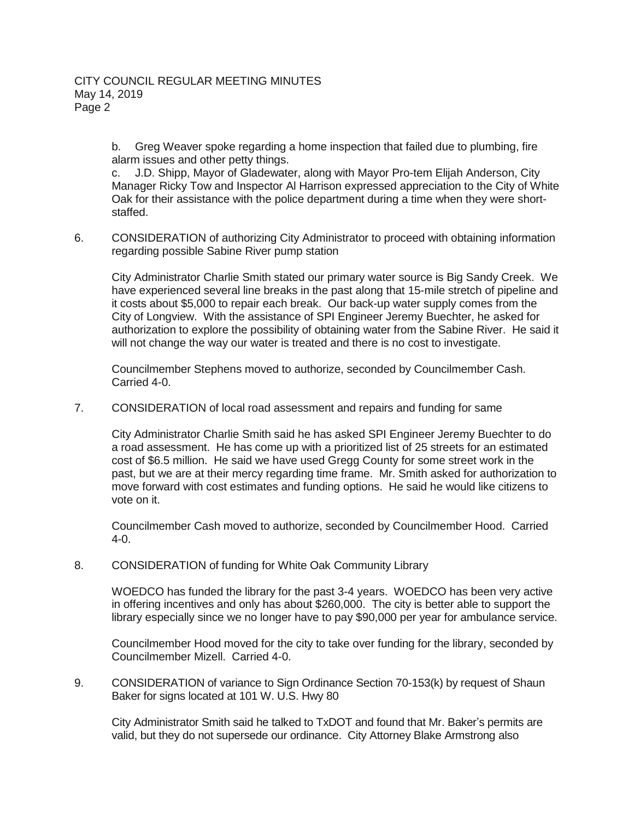b. Greg Weaver spoke regarding a home inspection that failed due to plumbing, fire alarm issues and other petty things.

c. J.D. Shipp, Mayor of Gladewater, along with Mayor Pro-tem Elijah Anderson, City Manager Ricky Tow and Inspector Al Harrison expressed appreciation to the City of White Oak for their assistance with the police department during a time when they were shortstaffed.

6. CONSIDERATION of authorizing City Administrator to proceed with obtaining information regarding possible Sabine River pump station

City Administrator Charlie Smith stated our primary water source is Big Sandy Creek. We have experienced several line breaks in the past along that 15-mile stretch of pipeline and it costs about \$5,000 to repair each break. Our back-up water supply comes from the City of Longview. With the assistance of SPI Engineer Jeremy Buechter, he asked for authorization to explore the possibility of obtaining water from the Sabine River. He said it will not change the way our water is treated and there is no cost to investigate.

Councilmember Stephens moved to authorize, seconded by Councilmember Cash. Carried 4-0.

7. CONSIDERATION of local road assessment and repairs and funding for same

City Administrator Charlie Smith said he has asked SPI Engineer Jeremy Buechter to do a road assessment. He has come up with a prioritized list of 25 streets for an estimated cost of \$6.5 million. He said we have used Gregg County for some street work in the past, but we are at their mercy regarding time frame. Mr. Smith asked for authorization to move forward with cost estimates and funding options. He said he would like citizens to vote on it.

Councilmember Cash moved to authorize, seconded by Councilmember Hood. Carried 4-0.

8. CONSIDERATION of funding for White Oak Community Library

WOEDCO has funded the library for the past 3-4 years. WOEDCO has been very active in offering incentives and only has about \$260,000. The city is better able to support the library especially since we no longer have to pay \$90,000 per year for ambulance service.

Councilmember Hood moved for the city to take over funding for the library, seconded by Councilmember Mizell. Carried 4-0.

9. CONSIDERATION of variance to Sign Ordinance Section 70-153(k) by request of Shaun Baker for signs located at 101 W. U.S. Hwy 80

City Administrator Smith said he talked to TxDOT and found that Mr. Baker's permits are valid, but they do not supersede our ordinance. City Attorney Blake Armstrong also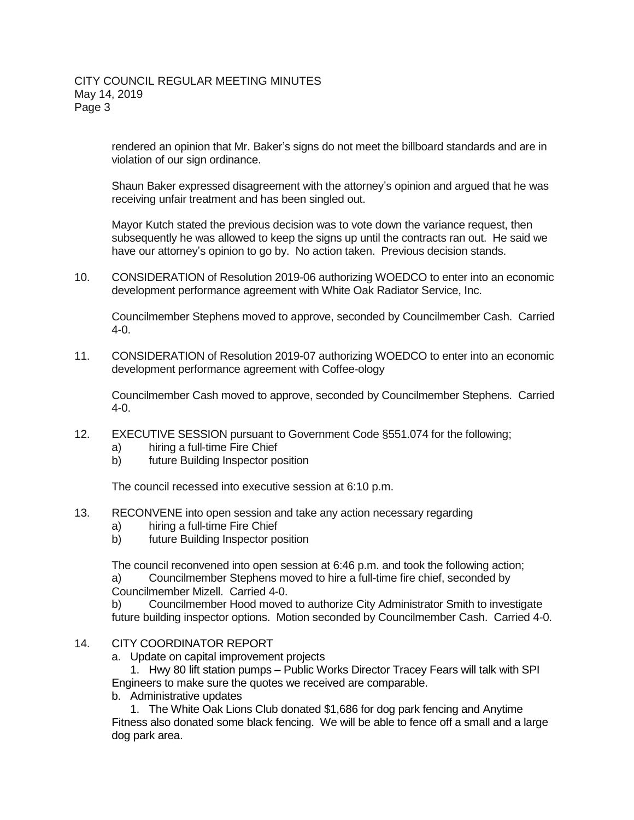rendered an opinion that Mr. Baker's signs do not meet the billboard standards and are in violation of our sign ordinance.

Shaun Baker expressed disagreement with the attorney's opinion and argued that he was receiving unfair treatment and has been singled out.

Mayor Kutch stated the previous decision was to vote down the variance request, then subsequently he was allowed to keep the signs up until the contracts ran out. He said we have our attorney's opinion to go by. No action taken. Previous decision stands.

10. CONSIDERATION of Resolution 2019-06 authorizing WOEDCO to enter into an economic development performance agreement with White Oak Radiator Service, Inc.

Councilmember Stephens moved to approve, seconded by Councilmember Cash. Carried 4-0.

11. CONSIDERATION of Resolution 2019-07 authorizing WOEDCO to enter into an economic development performance agreement with Coffee-ology

Councilmember Cash moved to approve, seconded by Councilmember Stephens. Carried 4-0.

- 12. EXECUTIVE SESSION pursuant to Government Code §551.074 for the following;
	- a) hiring a full-time Fire Chief
	- b) future Building Inspector position

The council recessed into executive session at 6:10 p.m.

- 13. RECONVENE into open session and take any action necessary regarding
	- a) hiring a full-time Fire Chief
	- b) future Building Inspector position

The council reconvened into open session at 6:46 p.m. and took the following action; a) Councilmember Stephens moved to hire a full-time fire chief, seconded by Councilmember Mizell. Carried 4-0.

b) Councilmember Hood moved to authorize City Administrator Smith to investigate future building inspector options. Motion seconded by Councilmember Cash. Carried 4-0.

- 14. CITY COORDINATOR REPORT
	- a. Update on capital improvement projects

1. Hwy 80 lift station pumps – Public Works Director Tracey Fears will talk with SPI Engineers to make sure the quotes we received are comparable.

b. Administrative updates

1. The White Oak Lions Club donated \$1,686 for dog park fencing and Anytime Fitness also donated some black fencing. We will be able to fence off a small and a large dog park area.